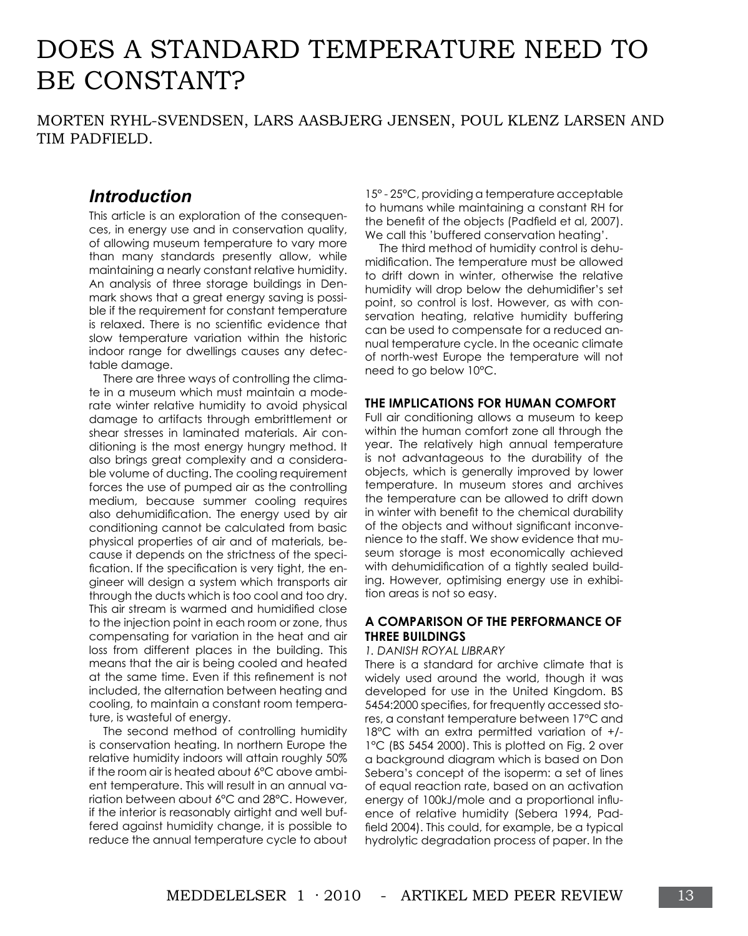# Does a standard temperature need to BE CONSTANT?

Morten Ryhl-Svendsen, Lars Aasbjerg Jensen, Poul Klenz Larsen and Tim Padfield.

## *Introduction*

This article is an exploration of the consequences, in energy use and in conservation quality, of allowing museum temperature to vary more than many standards presently allow, while maintaining a nearly constant relative humidity. An analysis of three storage buildings in Denmark shows that a great energy saving is possible if the requirement for constant temperature is relaxed. There is no scientific evidence that slow temperature variation within the historic indoor range for dwellings causes any detectable damage.

There are three ways of controlling the climate in a museum which must maintain a moderate winter relative humidity to avoid physical damage to artifacts through embrittlement or shear stresses in laminated materials. Air conditioning is the most energy hungry method. It also brings great complexity and a considerable volume of ducting. The cooling requirement forces the use of pumped air as the controlling medium, because summer cooling requires also dehumidification. The energy used by air conditioning cannot be calculated from basic physical properties of air and of materials, because it depends on the strictness of the specification. If the specification is very tight, the engineer will design a system which transports air through the ducts which is too cool and too dry. This air stream is warmed and humidified close to the injection point in each room or zone, thus compensating for variation in the heat and air loss from different places in the building. This means that the air is being cooled and heated at the same time. Even if this refinement is not included, the alternation between heating and cooling, to maintain a constant room temperature, is wasteful of energy.

The second method of controlling humidity is conservation heating. In northern Europe the relative humidity indoors will attain roughly 50% if the room air is heated about 6°C above ambient temperature. This will result in an annual variation between about 6°C and 28°C. However, if the interior is reasonably airtight and well buffered against humidity change, it is possible to reduce the annual temperature cycle to about

15° - 25°C, providing a temperature acceptable to humans while maintaining a constant RH for the benefit of the objects (Padfield et al, 2007). We call this 'buffered conservation heating'.

The third method of humidity control is dehumidification. The temperature must be allowed to drift down in winter, otherwise the relative humidity will drop below the dehumidifier's set point, so control is lost. However, as with conservation heating, relative humidity buffering can be used to compensate for a reduced annual temperature cycle. In the oceanic climate of north-west Europe the temperature will not need to go below 10°C.

## **The implications for human comfort**

Full air conditioning allows a museum to keep within the human comfort zone all through the year. The relatively high annual temperature is not advantageous to the durability of the objects, which is generally improved by lower temperature. In museum stores and archives the temperature can be allowed to drift down in winter with benefit to the chemical durability of the objects and without significant inconvenience to the staff. We show evidence that museum storage is most economically achieved with dehumidification of a tightly sealed building. However, optimising energy use in exhibition areas is not so easy.

## **A comparison of the performance of three buildings**

#### *1. Danish Royal Library*

There is a standard for archive climate that is widely used around the world, though it was developed for use in the United Kingdom. BS 5454:2000 specifies, for frequently accessed stores, a constant temperature between 17°C and 18°C with an extra permitted variation of +/- 1°C (BS 5454 2000). This is plotted on Fig. 2 over a background diagram which is based on Don Sebera's concept of the isoperm: a set of lines of equal reaction rate, based on an activation energy of 100kJ/mole and a proportional influence of relative humidity (Sebera 1994, Padfield 2004). This could, for example, be a typical hydrolytic degradation process of paper. In the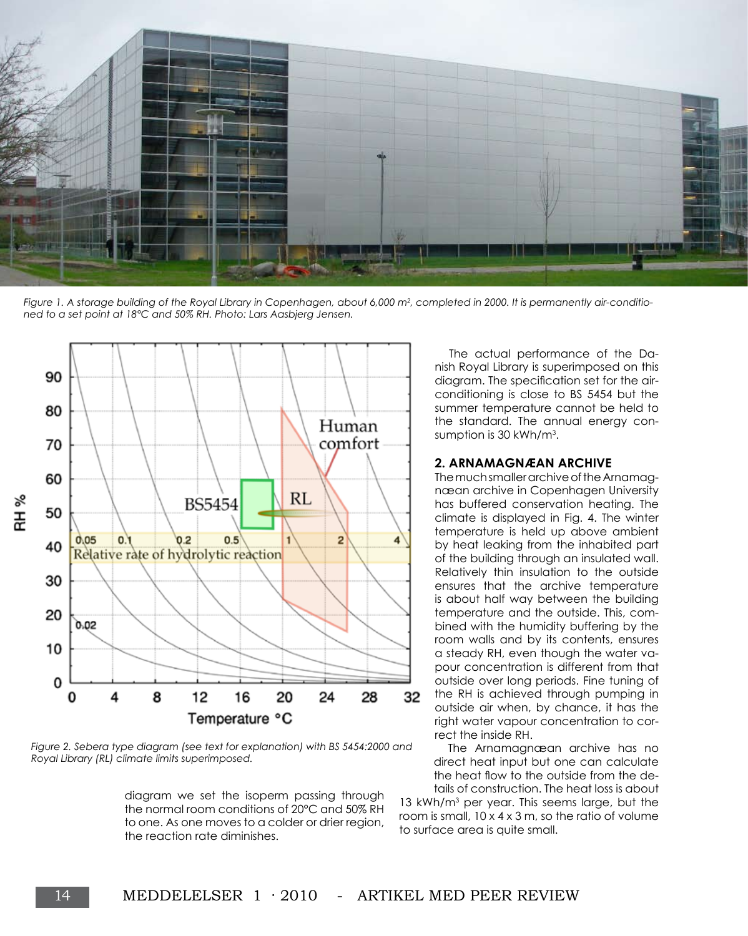

*Figure 1. A storage building of the Royal Library in Copenhagen, about 6,000 m<sup>2</sup> , completed in 2000. It is permanently air-conditioned to a set point at 18°C and 50% RH. Photo: Lars Aasbjerg Jensen.*



*Figure 2. Sebera type diagram (see text for explanation) with BS 5454:2000 and Royal Library (RL) climate limits superimposed.* 

diagram we set the isoperm passing through the normal room conditions of 20°C and 50% RH to one. As one moves to a colder or drier region, the reaction rate diminishes.

The actual performance of the Danish Royal Library is superimposed on this diagram. The specification set for the airconditioning is close to BS 5454 but the summer temperature cannot be held to the standard. The annual energy consumption is 30 kWh/m<sup>3</sup>.

## **2. Arnamagnæan archive**

The much smaller archive of the Arnamagnæan archive in Copenhagen University has buffered conservation heating. The climate is displayed in Fig. 4. The winter temperature is held up above ambient by heat leaking from the inhabited part of the building through an insulated wall. Relatively thin insulation to the outside ensures that the archive temperature is about half way between the building temperature and the outside. This, combined with the humidity buffering by the room walls and by its contents, ensures a steady RH, even though the water vapour concentration is different from that outside over long periods. Fine tuning of the RH is achieved through pumping in outside air when, by chance, it has the right water vapour concentration to correct the inside RH.

The Arnamagnæan archive has no direct heat input but one can calculate the heat flow to the outside from the details of construction. The heat loss is about 13 kWh/m3 per year. This seems large, but the

room is small,  $10 \times 4 \times 3$  m, so the ratio of volume to surface area is quite small.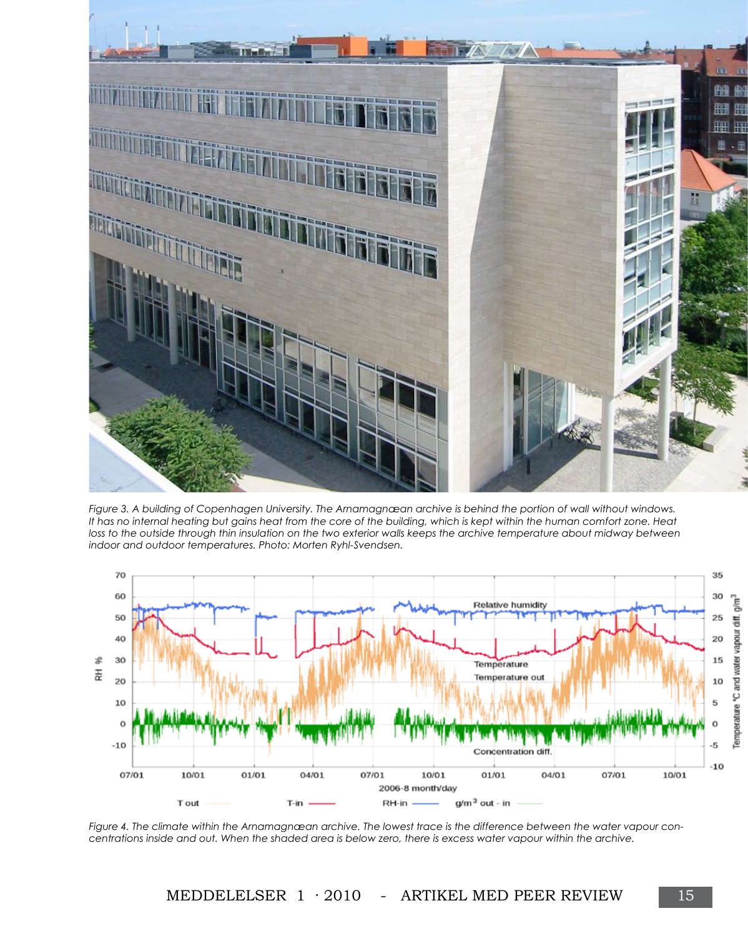

*Figure 3. A building of Copenhagen University. The Arnamagnæan archive is behind the portion of wall without windows. It has no internal heating but gains heat from the core of the building, which is kept within the human comfort zone. Heat loss to the outside through thin insulation on the two exterior walls keeps the archive temperature about midway between indoor and outdoor temperatures. Photo: Morten Ryhl-Svendsen.*



*Figure 4. The climate within the Arnamagnæan archive. The lowest trace is the difference between the water vapour concentrations inside and out. When the shaded area is below zero, there is excess water vapour within the archive.*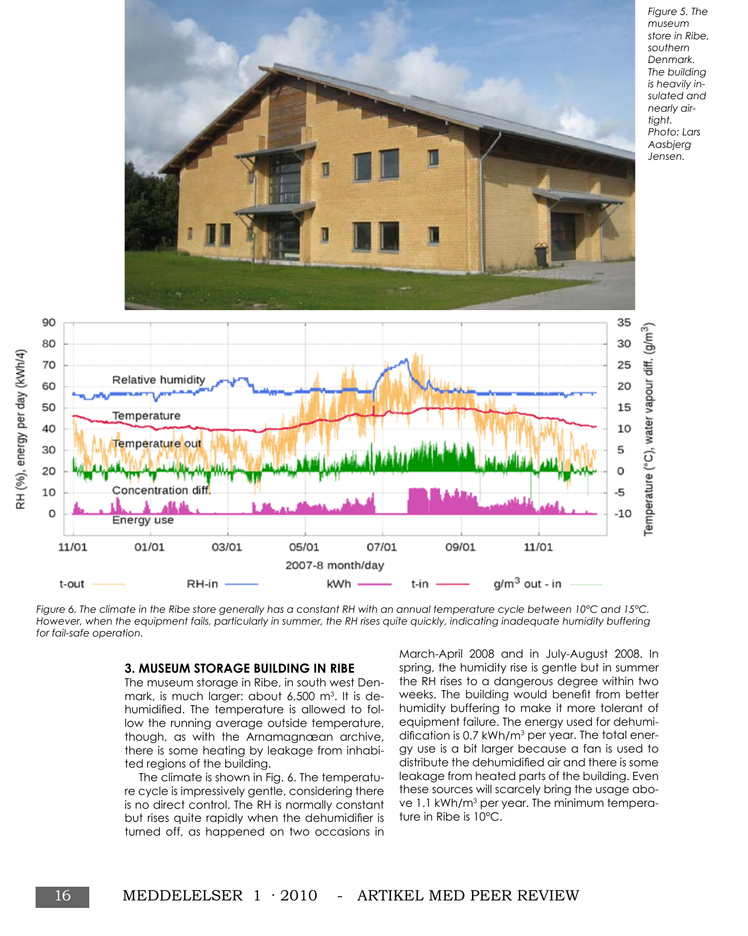

*Figure 6. The climate in the Ribe store generally has a constant RH with an annual temperature cycle between 10°C and 15°C.*  However, when the equipment fails, particularly in summer, the RH rises quite quickly, indicating inadequate humidity buffering *for fail-safe operation.* 

#### **3. Museum storage building in Ribe**

The museum storage in Ribe, in south west Denmark, is much larger: about 6,500 m<sup>3</sup>. It is dehumidified. The temperature is allowed to follow the running average outside temperature, though, as with the Arnamagnæan archive, there is some heating by leakage from inhabited regions of the building.

The climate is shown in Fig. 6. The temperature cycle is impressively gentle, considering there is no direct control. The RH is normally constant but rises quite rapidly when the dehumidifier is turned off, as happened on two occasions in

March-April 2008 and in July-August 2008. In spring, the humidity rise is gentle but in summer the RH rises to a dangerous degree within two weeks. The building would benefit from better humidity buffering to make it more tolerant of equipment failure. The energy used for dehumidification is 0.7 kWh/m<sup>3</sup> per year. The total energy use is a bit larger because a fan is used to distribute the dehumidified air and there is some leakage from heated parts of the building. Even these sources will scarcely bring the usage above 1.1 kWh/m<sup>3</sup> per year. The minimum temperature in Ribe is 10°C.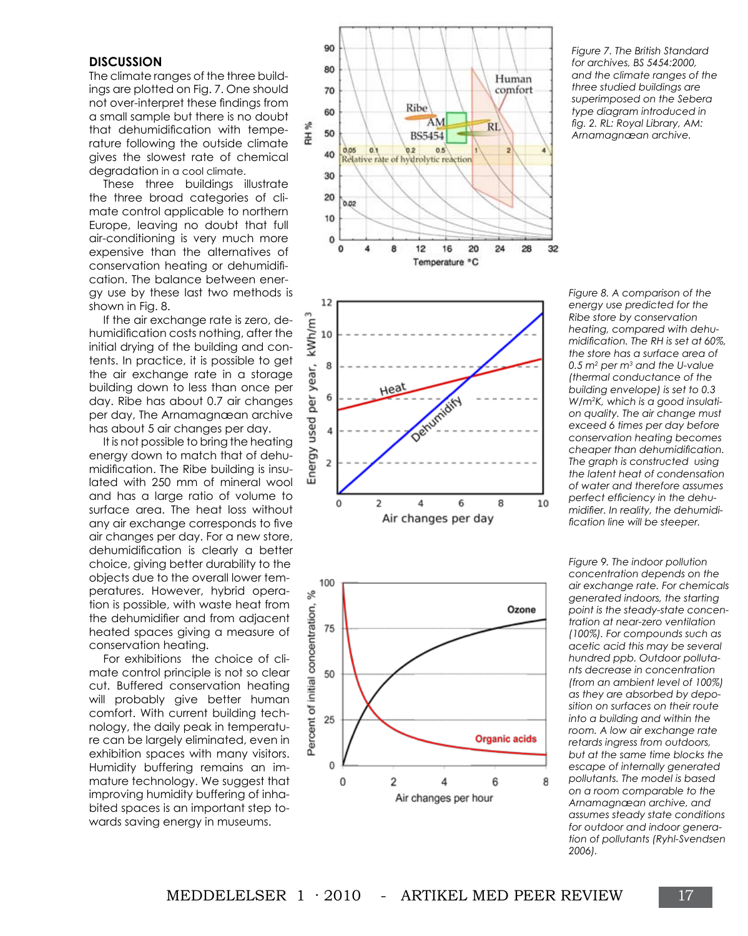## **Discussion**

The climate ranges of the three buildings are plotted on Fig. 7. One should not over-interpret these findings from a small sample but there is no doubt that dehumidification with temperature following the outside climate gives the slowest rate of chemical degradation in a cool climate.

These three buildings illustrate the three broad categories of climate control applicable to northern Europe, leaving no doubt that full air-conditioning is very much more expensive than the alternatives of conservation heating or dehumidification. The balance between energy use by these last two methods is shown in Fig. 8.

If the air exchange rate is zero, dehumidification costs nothing, after the initial drying of the building and contents. In practice, it is possible to get the air exchange rate in a storage building down to less than once per day. Ribe has about 0.7 air changes per day, The Arnamagnæan archive has about 5 air changes per day.

It is not possible to bring the heating energy down to match that of dehumidification. The Ribe building is insulated with 250 mm of mineral wool and has a large ratio of volume to surface area. The heat loss without any air exchange corresponds to five air changes per day. For a new store, dehumidification is clearly a better choice, giving better durability to the objects due to the overall lower temperatures. However, hybrid operation is possible, with waste heat from the dehumidifier and from adjacent heated spaces giving a measure of conservation heating.

For exhibitions the choice of climate control principle is not so clear cut. Buffered conservation heating will probably give better human comfort. With current building technology, the daily peak in temperature can be largely eliminated, even in exhibition spaces with many visitors. Humidity buffering remains an immature technology. We suggest that improving humidity buffering of inhabited spaces is an important step towards saving energy in museums.







*Figure 7. The British Standard for archives, BS 5454:2000, and the climate ranges of the three studied buildings are superimposed on the Sebera type diagram introduced in fig. 2. RL: Royal Library, AM: Arnamagnæan archive.* 

*Figure 8. A comparison of the energy use predicted for the Ribe store by conservation heating, compared with dehumidification. The RH is set at 60%, the store has a surface area of 0.5 m<sup>2</sup> per m<sup>3</sup> and the U-value (thermal conductance of the building envelope) is set to 0.3 W/m<sup>2</sup> K, which is a good insulation quality. The air change must exceed 6 times per day before conservation heating becomes cheaper than dehumidification. The graph is constructed using the latent heat of condensation of water and therefore assumes perfect efficiency in the dehumidifier. In reality, the dehumidification line will be steeper.*

*Figure 9. The indoor pollution concentration depends on the air exchange rate. For chemicals generated indoors, the starting point is the steady-state concentration at near-zero ventilation (100%). For compounds such as acetic acid this may be several hundred ppb. Outdoor pollutants decrease in concentration (from an ambient level of 100%) as they are absorbed by deposition on surfaces on their route into a building and within the room. A low air exchange rate retards ingress from outdoors, but at the same time blocks the escape of internally generated pollutants. The model is based on a room comparable to the Arnamagnæan archive, and assumes steady state conditions for outdoor and indoor generation of pollutants (Ryhl-Svendsen 2006).*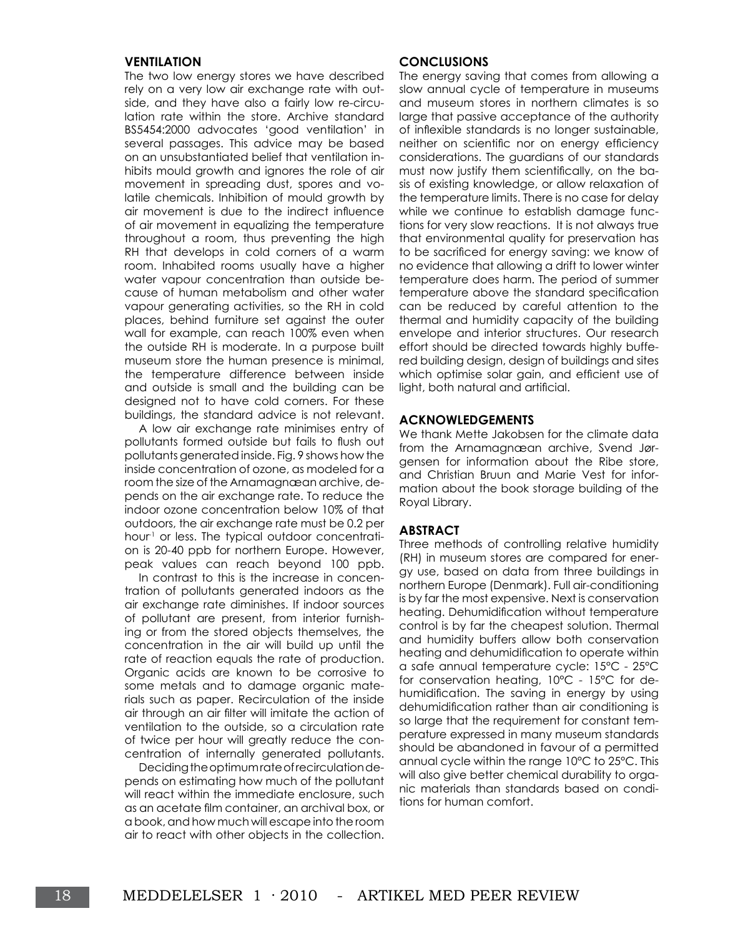#### **Ventilation**

The two low energy stores we have described rely on a very low air exchange rate with outside, and they have also a fairly low re-circulation rate within the store. Archive standard BS5454:2000 advocates 'good ventilation' in several passages. This advice may be based on an unsubstantiated belief that ventilation inhibits mould growth and ignores the role of air movement in spreading dust, spores and volatile chemicals. Inhibition of mould growth by air movement is due to the indirect influence of air movement in equalizing the temperature throughout a room, thus preventing the high RH that develops in cold corners of a warm room. Inhabited rooms usually have a higher water vapour concentration than outside because of human metabolism and other water vapour generating activities, so the RH in cold places, behind furniture set against the outer wall for example, can reach 100% even when the outside RH is moderate. In a purpose built museum store the human presence is minimal, the temperature difference between inside and outside is small and the building can be designed not to have cold corners. For these buildings, the standard advice is not relevant.

A low air exchange rate minimises entry of pollutants formed outside but fails to flush out pollutants generated inside. Fig. 9 shows how the inside concentration of ozone, as modeled for a room the size of the Arnamagnæan archive, depends on the air exchange rate. To reduce the indoor ozone concentration below 10% of that outdoors, the air exchange rate must be 0.2 per hour<sup>1</sup> or less. The typical outdoor concentration is 20-40 ppb for northern Europe. However, peak values can reach beyond 100 ppb.

In contrast to this is the increase in concentration of pollutants generated indoors as the air exchange rate diminishes. If indoor sources of pollutant are present, from interior furnishing or from the stored objects themselves, the concentration in the air will build up until the rate of reaction equals the rate of production. Organic acids are known to be corrosive to some metals and to damage organic materials such as paper. Recirculation of the inside air through an air filter will imitate the action of ventilation to the outside, so a circulation rate of twice per hour will greatly reduce the concentration of internally generated pollutants.

Deciding the optimum rate of recirculation depends on estimating how much of the pollutant will react within the immediate enclosure, such as an acetate film container, an archival box, or a book, and how much will escape into the room air to react with other objects in the collection.

#### **Conclusions**

The energy saving that comes from allowing a slow annual cycle of temperature in museums and museum stores in northern climates is so large that passive acceptance of the authority of inflexible standards is no longer sustainable, neither on scientific nor on energy efficiency considerations. The guardians of our standards must now justify them scientifically, on the basis of existing knowledge, or allow relaxation of the temperature limits. There is no case for delay while we continue to establish damage functions for very slow reactions. It is not always true that environmental quality for preservation has to be sacrificed for energy saving: we know of no evidence that allowing a drift to lower winter temperature does harm. The period of summer temperature above the standard specification can be reduced by careful attention to the thermal and humidity capacity of the building envelope and interior structures. Our research effort should be directed towards highly buffered building design, design of buildings and sites which optimise solar gain, and efficient use of light, both natural and artificial.

#### **Acknowledgements**

We thank Mette Jakobsen for the climate data from the Arnamagnæan archive, Svend Jørgensen for information about the Ribe store, and Christian Bruun and Marie Vest for information about the book storage building of the Royal Library.

#### **Abstract**

Three methods of controlling relative humidity (RH) in museum stores are compared for energy use, based on data from three buildings in northern Europe (Denmark). Full air-conditioning is by far the most expensive. Next is conservation heating. Dehumidification without temperature control is by far the cheapest solution. Thermal and humidity buffers allow both conservation heating and dehumidification to operate within a safe annual temperature cycle: 15°C - 25°C for conservation heating, 10°C - 15°C for dehumidification. The saving in energy by using dehumidification rather than air conditioning is so large that the requirement for constant temperature expressed in many museum standards should be abandoned in favour of a permitted annual cycle within the range 10°C to 25°C. This will also give better chemical durability to organic materials than standards based on conditions for human comfort.